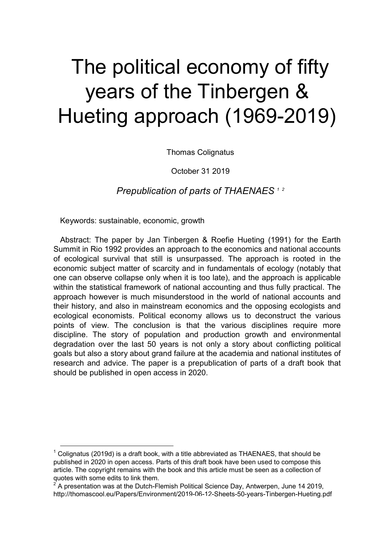# The political economy of fifty years of the Tinbergen & Hueting approach (1969-2019)

Thomas Colignatus

October 31 2019

*Prepublication of parts of THAENAES <sup>1</sup> <sup>2</sup>*

Keywords: sustainable, economic, growth

-

Abstract: The paper by Jan Tinbergen & Roefie Hueting (1991) for the Earth Summit in Rio 1992 provides an approach to the economics and national accounts of ecological survival that still is unsurpassed. The approach is rooted in the economic subject matter of scarcity and in fundamentals of ecology (notably that one can observe collapse only when it is too late), and the approach is applicable within the statistical framework of national accounting and thus fully practical. The approach however is much misunderstood in the world of national accounts and their history, and also in mainstream economics and the opposing ecologists and ecological economists. Political economy allows us to deconstruct the various points of view. The conclusion is that the various disciplines require more discipline. The story of population and production growth and environmental degradation over the last 50 years is not only a story about conflicting political goals but also a story about grand failure at the academia and national institutes of research and advice. The paper is a prepublication of parts of a draft book that should be published in open access in 2020.

 $^{\text{1}}$  Colignatus (2019d) is a draft book, with a title abbreviated as THAENAES, that should be published in 2020 in open access. Parts of this draft book have been used to compose this article. The copyright remains with the book and this article must be seen as a collection of quotes with some edits to link them.

<sup>2</sup> A presentation was at the Dutch-Flemish Political Science Day, Antwerpen, June 14 2019, http://thomascool.eu/Papers/Environment/2019-06-12-Sheets-50-years-Tinbergen-Hueting.pdf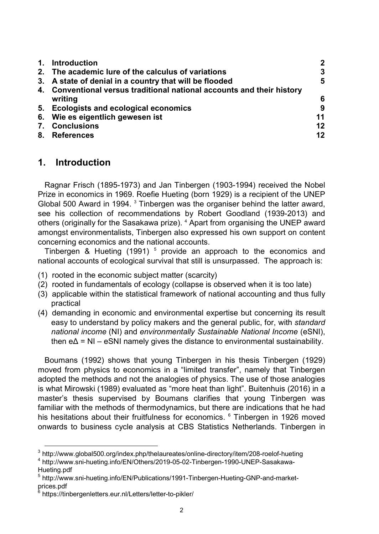| 1. | <b>Introduction</b>                                                    | $\mathbf{2}$ |
|----|------------------------------------------------------------------------|--------------|
|    | 2. The academic lure of the calculus of variations                     | 3            |
|    | 3. A state of denial in a country that will be flooded                 | 5            |
|    | 4. Conventional versus traditional national accounts and their history | 6            |
|    | writing                                                                |              |
|    | 5. Ecologists and ecological economics                                 | 9            |
|    | 6. Wie es eigentlich gewesen ist                                       | 11           |
|    | 7. Conclusions                                                         | 12           |
|    | 8. References                                                          | 12           |

#### **1. Introduction**

Ragnar Frisch (1895-1973) and Jan Tinbergen (1903-1994) received the Nobel Prize in economics in 1969. Roefie Hueting (born 1929) is a recipient of the UNEP Global 500 Award in 1994. $3$  Tinbergen was the organiser behind the latter award, see his collection of recommendations by Robert Goodland (1939-2013) and others (originally for the Sasakawa prize). <sup>4</sup> Apart from organising the UNEP award amongst environmentalists, Tinbergen also expressed his own support on content concerning economics and the national accounts.

Tinbergen & Hueting (1991)  $<sup>5</sup>$  provide an approach to the economics and</sup> national accounts of ecological survival that still is unsurpassed. The approach is:

- (1) rooted in the economic subject matter (scarcity)
- (2) rooted in fundamentals of ecology (collapse is observed when it is too late)
- (3) applicable within the statistical framework of national accounting and thus fully practical
- (4) demanding in economic and environmental expertise but concerning its result easy to understand by policy makers and the general public, for, with *standard national income* (NI) and *environmentally Sustainable National Income* (eSNI), then  $e\Delta = NI - eSNI$  namely gives the distance to environmental sustainability.

Boumans (1992) shows that young Tinbergen in his thesis Tinbergen (1929) moved from physics to economics in a "limited transfer", namely that Tinbergen adopted the methods and not the analogies of physics. The use of those analogies is what Mirowski (1989) evaluated as "more heat than light". Buitenhuis (2016) in a master's thesis supervised by Boumans clarifies that young Tinbergen was familiar with the methods of thermodynamics, but there are indications that he had his hesitations about their fruitfulness for economics. <sup>6</sup> Tinbergen in 1926 moved onwards to business cycle analysis at CBS Statistics Netherlands. Tinbergen in

 3 http://www.global500.org/index.php/thelaureates/online-directory/item/208-roelof-hueting

<sup>4</sup> http://www.sni-hueting.info/EN/Others/2019-05-02-Tinbergen-1990-UNEP-Sasakawa-Hueting.pdf

<sup>&</sup>lt;sup>5</sup> http://www.sni-hueting.info/EN/Publications/1991-Tinbergen-Hueting-GNP-and-marketprices.pdf<br><sup>6</sup> https://tii

https://tinbergenletters.eur.nl/Letters/letter-to-pikler/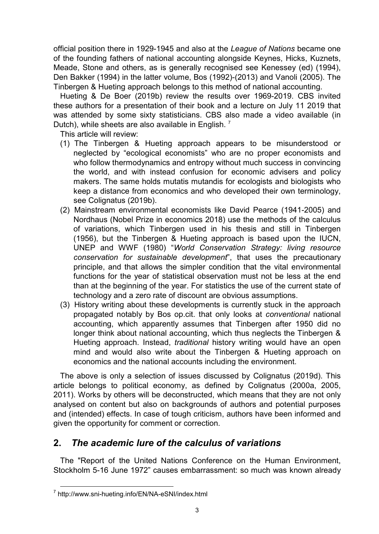official position there in 1929-1945 and also at the *League of Nations* became one of the founding fathers of national accounting alongside Keynes, Hicks, Kuznets, Meade, Stone and others, as is generally recognised see Kenessey (ed) (1994), Den Bakker (1994) in the latter volume, Bos (1992)-(2013) and Vanoli (2005). The Tinbergen & Hueting approach belongs to this method of national accounting.

Hueting & De Boer (2019b) review the results over 1969-2019. CBS invited these authors for a presentation of their book and a lecture on July 11 2019 that was attended by some sixty statisticians. CBS also made a video available (in Dutch), while sheets are also available in English.<sup>7</sup>

This article will review:

- (1) The Tinbergen & Hueting approach appears to be misunderstood or neglected by "ecological economists" who are no proper economists and who follow thermodynamics and entropy without much success in convincing the world, and with instead confusion for economic advisers and policy makers. The same holds mutatis mutandis for ecologists and biologists who keep a distance from economics and who developed their own terminology, see Colignatus (2019b).
- (2) Mainstream environmental economists like David Pearce (1941-2005) and Nordhaus (Nobel Prize in economics 2018) use the methods of the calculus of variations, which Tinbergen used in his thesis and still in Tinbergen (1956), but the Tinbergen & Hueting approach is based upon the IUCN, UNEP and WWF (1980) "*World Conservation Strategy: living resource conservation for sustainable development*", that uses the precautionary principle, and that allows the simpler condition that the vital environmental functions for the year of statistical observation must not be less at the end than at the beginning of the year. For statistics the use of the current state of technology and a zero rate of discount are obvious assumptions.
- (3) History writing about these developments is currently stuck in the approach propagated notably by Bos op.cit. that only looks at *conventional* national accounting, which apparently assumes that Tinbergen after 1950 did no longer think about national accounting, which thus neglects the Tinbergen & Hueting approach. Instead, *traditional* history writing would have an open mind and would also write about the Tinbergen & Hueting approach on economics and the national accounts including the environment.

The above is only a selection of issues discussed by Colignatus (2019d). This article belongs to political economy, as defined by Colignatus (2000a, 2005, 2011). Works by others will be deconstructed, which means that they are not only analysed on content but also on backgrounds of authors and potential purposes and (intended) effects. In case of tough criticism, authors have been informed and given the opportunity for comment or correction.

# **2.** *The academic lure of the calculus of variations*

The "Report of the United Nations Conference on the Human Environment, Stockholm 5-16 June 1972" causes embarrassment: so much was known already

-

<sup>7</sup> http://www.sni-hueting.info/EN/NA-eSNI/index.html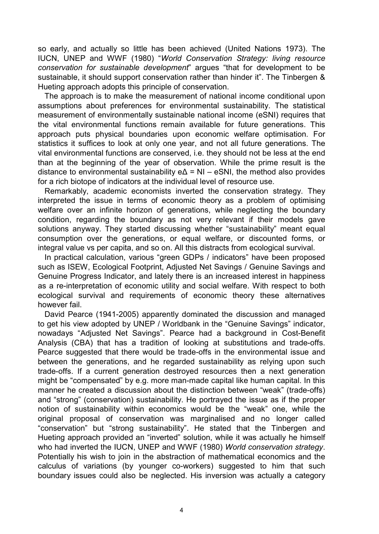so early, and actually so little has been achieved (United Nations 1973). The IUCN, UNEP and WWF (1980) "*World Conservation Strategy: living resource conservation for sustainable development*" argues "that for development to be sustainable, it should support conservation rather than hinder it". The Tinbergen & Hueting approach adopts this principle of conservation.

The approach is to make the measurement of national income conditional upon assumptions about preferences for environmental sustainability. The statistical measurement of environmentally sustainable national income (eSNI) requires that the vital environmental functions remain available for future generations. This approach puts physical boundaries upon economic welfare optimisation. For statistics it suffices to look at only one year, and not all future generations. The vital environmental functions are conserved, i.e. they should not be less at the end than at the beginning of the year of observation. While the prime result is the distance to environmental sustainability  $e\Delta = NI - eSNI$ , the method also provides for a rich biotope of indicators at the individual level of resource use.

Remarkably, academic economists inverted the conservation strategy. They interpreted the issue in terms of economic theory as a problem of optimising welfare over an infinite horizon of generations, while neglecting the boundary condition, regarding the boundary as not very relevant if their models gave solutions anyway. They started discussing whether "sustainability" meant equal consumption over the generations, or equal welfare, or discounted forms, or integral value vs per capita, and so on. All this distracts from ecological survival.

In practical calculation, various "green GDPs / indicators" have been proposed such as ISEW, Ecological Footprint, Adjusted Net Savings / Genuine Savings and Genuine Progress Indicator, and lately there is an increased interest in happiness as a re-interpretation of economic utility and social welfare. With respect to both ecological survival and requirements of economic theory these alternatives however fail.

David Pearce (1941-2005) apparently dominated the discussion and managed to get his view adopted by UNEP / Worldbank in the "Genuine Savings" indicator, nowadays "Adjusted Net Savings". Pearce had a background in Cost-Benefit Analysis (CBA) that has a tradition of looking at substitutions and trade-offs. Pearce suggested that there would be trade-offs in the environmental issue and between the generations, and he regarded sustainability as relying upon such trade-offs. If a current generation destroyed resources then a next generation might be "compensated" by e.g. more man-made capital like human capital. In this manner he created a discussion about the distinction between "weak" (trade-offs) and "strong" (conservation) sustainability. He portrayed the issue as if the proper notion of sustainability within economics would be the "weak" one, while the original proposal of conservation was marginalised and no longer called "conservation" but "strong sustainability". He stated that the Tinbergen and Hueting approach provided an "inverted" solution, while it was actually he himself who had inverted the IUCN, UNEP and WWF (1980) *World conservation strategy*. Potentially his wish to join in the abstraction of mathematical economics and the calculus of variations (by younger co-workers) suggested to him that such boundary issues could also be neglected. His inversion was actually a category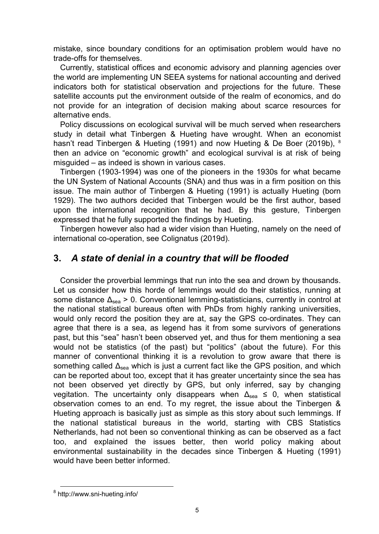mistake, since boundary conditions for an optimisation problem would have no trade-offs for themselves.

Currently, statistical offices and economic advisory and planning agencies over the world are implementing UN SEEA systems for national accounting and derived indicators both for statistical observation and projections for the future. These satellite accounts put the environment outside of the realm of economics, and do not provide for an integration of decision making about scarce resources for alternative ends.

Policy discussions on ecological survival will be much served when researchers study in detail what Tinbergen & Hueting have wrought. When an economist hasn't read Tinbergen & Hueting (1991) and now Hueting & De Boer (2019b), <sup>8</sup> then an advice on "economic growth" and ecological survival is at risk of being misguided – as indeed is shown in various cases.

Tinbergen (1903-1994) was one of the pioneers in the 1930s for what became the UN System of National Accounts (SNA) and thus was in a firm position on this issue. The main author of Tinbergen & Hueting (1991) is actually Hueting (born 1929). The two authors decided that Tinbergen would be the first author, based upon the international recognition that he had. By this gesture, Tinbergen expressed that he fully supported the findings by Hueting.

Tinbergen however also had a wider vision than Hueting, namely on the need of international co-operation, see Colignatus (2019d).

### **3.** *A state of denial in a country that will be flooded*

Consider the proverbial lemmings that run into the sea and drown by thousands. Let us consider how this horde of lemmings would do their statistics, running at some distance  $\Delta_{\text{sea}}$  > 0. Conventional lemming-statisticians, currently in control at the national statistical bureaus often with PhDs from highly ranking universities, would only record the position they are at, say the GPS co-ordinates. They can agree that there is a sea, as legend has it from some survivors of generations past, but this "sea" hasn't been observed yet, and thus for them mentioning a sea would not be statistics (of the past) but "politics" (about the future). For this manner of conventional thinking it is a revolution to grow aware that there is something called  $\Delta_{\text{sea}}$  which is just a current fact like the GPS position, and which can be reported about too, except that it has greater uncertainty since the sea has not been observed yet directly by GPS, but only inferred, say by changing vegitation. The uncertainty only disappears when  $\Delta_{\text{sea}} \leq 0$ , when statistical observation comes to an end. To my regret, the issue about the Tinbergen & Hueting approach is basically just as simple as this story about such lemmings. If the national statistical bureaus in the world, starting with CBS Statistics Netherlands, had not been so conventional thinking as can be observed as a fact too, and explained the issues better, then world policy making about environmental sustainability in the decades since Tinbergen & Hueting (1991) would have been better informed.

-

<sup>&</sup>lt;sup>8</sup> http://www.sni-hueting.info/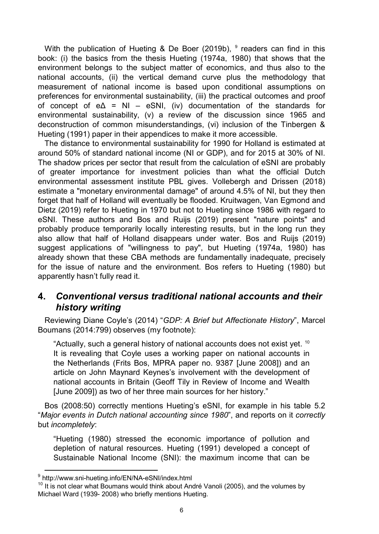With the publication of Hueting & De Boer (2019b),  $9$  readers can find in this book: (i) the basics from the thesis Hueting (1974a, 1980) that shows that the environment belongs to the subject matter of economics, and thus also to the national accounts, (ii) the vertical demand curve plus the methodology that measurement of national income is based upon conditional assumptions on preferences for environmental sustainability, (iii) the practical outcomes and proof of concept of  $e\Delta = NI - eSNI$ , (iv) documentation of the standards for environmental sustainability, (v) a review of the discussion since 1965 and deconstruction of common misunderstandings, (vi) inclusion of the Tinbergen & Hueting (1991) paper in their appendices to make it more accessible.

The distance to environmental sustainability for 1990 for Holland is estimated at around 50% of standard national income (NI or GDP), and for 2015 at 30% of NI. The shadow prices per sector that result from the calculation of eSNI are probably of greater importance for investment policies than what the official Dutch environmental assessment institute PBL gives. Vollebergh and Drissen (2018) estimate a "monetary environmental damage" of around 4.5% of NI, but they then forget that half of Holland will eventually be flooded. Kruitwagen, Van Egmond and Dietz (2019) refer to Hueting in 1970 but not to Hueting since 1986 with regard to eSNI. These authors and Bos and Ruijs (2019) present "nature points" and probably produce temporarily locally interesting results, but in the long run they also allow that half of Holland disappears under water. Bos and Ruijs (2019) suggest applications of "willingness to pay", but Hueting (1974a, 1980) has already shown that these CBA methods are fundamentally inadequate, precisely for the issue of nature and the environment. Bos refers to Hueting (1980) but apparently hasn't fully read it.

### **4.** *Conventional versus traditional national accounts and their history writing*

Reviewing Diane Coyle's (2014) "*GDP: A Brief but Affectionate History*", Marcel Boumans (2014:799) observes (my footnote):

"Actually, such a general history of national accounts does not exist yet.  $10$ It is revealing that Coyle uses a working paper on national accounts in the Netherlands (Frits Bos, MPRA paper no. 9387 [June 2008]) and an article on John Maynard Keynes's involvement with the development of national accounts in Britain (Geoff Tily in Review of Income and Wealth [June 2009]) as two of her three main sources for her history."

Bos (2008:50) correctly mentions Hueting's eSNI, for example in his table 5.2 "*Major events in Dutch national accounting since 1980*", and reports on it *correctly* but *incompletely*:

"Hueting (1980) stressed the economic importance of pollution and depletion of natural resources. Hueting (1991) developed a concept of Sustainable National Income (SNI): the maximum income that can be

l

<sup>&</sup>lt;sup>9</sup> http://www.sni-hueting.info/EN/NA-eSNI/index.html

 $10$  It is not clear what Boumans would think about André Vanoli (2005), and the volumes by Michael Ward (1939- 2008) who briefly mentions Hueting.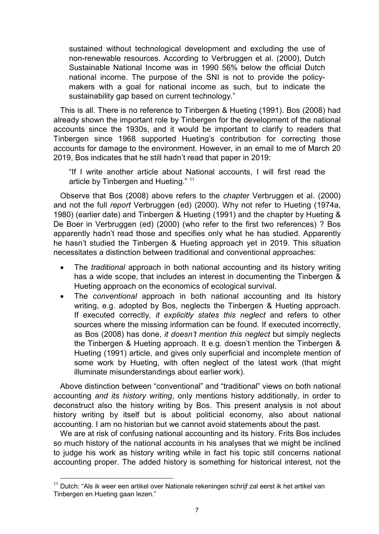sustained without technological development and excluding the use of non-renewable resources. According to Verbruggen et al. (2000), Dutch Sustainable National Income was in 1990 56% below the official Dutch national income. The purpose of the SNI is not to provide the policymakers with a goal for national income as such, but to indicate the sustainability gap based on current technology."

This is all. There is no reference to Tinbergen & Hueting (1991). Bos (2008) had already shown the important role by Tinbergen for the development of the national accounts since the 1930s, and it would be important to clarify to readers that Tinbergen since 1968 supported Hueting's contribution for correcting those accounts for damage to the environment. However, in an email to me of March 20 2019, Bos indicates that he still hadn't read that paper in 2019:

"If I write another article about National accounts, I will first read the article by Tinbergen and Hueting." <sup>11</sup>

Observe that Bos (2008) above refers to the *chapter* Verbruggen et al. (2000) and not the full *report* Verbruggen (ed) (2000). Why not refer to Hueting (1974a, 1980) (earlier date) and Tinbergen & Hueting (1991) and the chapter by Hueting & De Boer in Verbruggen (ed) (2000) (who refer to the first two references) ? Bos apparently hadn't read those and specifies only what he has studied. Apparently he hasn't studied the Tinbergen & Hueting approach yet in 2019. This situation necessitates a distinction between traditional and conventional approaches:

- The *traditional* approach in both national accounting and its history writing has a wide scope, that includes an interest in documenting the Tinbergen & Hueting approach on the economics of ecological survival.
- The *conventional* approach in both national accounting and its history writing, e.g. adopted by Bos, neglects the Tinbergen & Hueting approach. If executed correctly, *it explicitly states this neglect* and refers to other sources where the missing information can be found. If executed incorrectly, as Bos (2008) has done, *it doesn't mention this neglect* but simply neglects the Tinbergen & Hueting approach. It e.g. doesn't mention the Tinbergen & Hueting (1991) article, and gives only superficial and incomplete mention of some work by Hueting, with often neglect of the latest work (that might illuminate misunderstandings about earlier work).

Above distinction between "conventional" and "traditional" views on both national accounting *and its history writing*, only mentions history additionally, in order to deconstruct also the history writing by Bos. This present analysis is not about history writing by itself but is about politicial economy, also about national accounting. I am no historian but we cannot avoid statements about the past.

We are at risk of confusing national accounting and its history. Frits Bos includes so much history of the national accounts in his analyses that we might be inclined to judge his work as history writing while in fact his topic still concerns national accounting proper. The added history is something for historical interest, not the

l

<sup>&</sup>lt;sup>11</sup> Dutch: "Als ik weer een artikel over Nationale rekeningen schrijf zal eerst ik het artikel van Tinbergen en Hueting gaan lezen."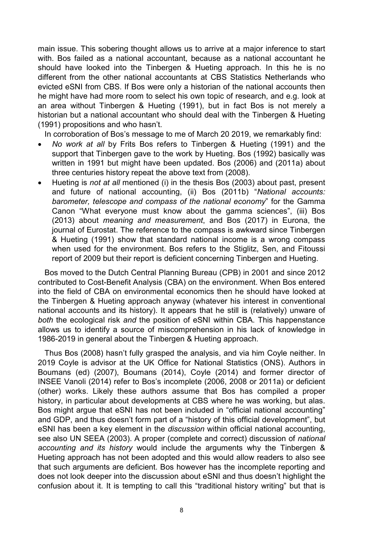main issue. This sobering thought allows us to arrive at a major inference to start with. Bos failed as a national accountant, because as a national accountant he should have looked into the Tinbergen & Hueting approach. In this he is no different from the other national accountants at CBS Statistics Netherlands who evicted eSNI from CBS. If Bos were only a historian of the national accounts then he might have had more room to select his own topic of research, and e.g. look at an area without Tinbergen & Hueting (1991), but in fact Bos is not merely a historian but a national accountant who should deal with the Tinbergen & Hueting (1991) propositions and who hasn't.

In corroboration of Bos's message to me of March 20 2019, we remarkably find:

- *No work at all* by Frits Bos refers to Tinbergen & Hueting (1991) and the support that Tinbergen gave to the work by Hueting. Bos (1992) basically was written in 1991 but might have been updated. Bos (2006) and (2011a) about three centuries history repeat the above text from (2008).
- Hueting is *not at all* mentioned (i) in the thesis Bos (2003) about past, present and future of national accounting, (ii) Bos (2011b) "*National accounts: barometer, telescope and compass of the national economy*" for the Gamma Canon "What everyone must know about the gamma sciences", (iii) Bos (2013) about *meaning and measurement*, and Bos (2017) in Eurona, the journal of Eurostat. The reference to the compass is awkward since Tinbergen & Hueting (1991) show that standard national income is a wrong compass when used for the environment. Bos refers to the Stiglitz, Sen, and Fitoussi report of 2009 but their report is deficient concerning Tinbergen and Hueting.

Bos moved to the Dutch Central Planning Bureau (CPB) in 2001 and since 2012 contributed to Cost-Benefit Analysis (CBA) on the environment. When Bos entered into the field of CBA on environmental economics then he should have looked at the Tinbergen & Hueting approach anyway (whatever his interest in conventional national accounts and its history). It appears that he still is (relatively) unware of *both* the ecological risk *and* the position of eSNI within CBA. This happenstance allows us to identify a source of miscomprehension in his lack of knowledge in 1986-2019 in general about the Tinbergen & Hueting approach.

Thus Bos (2008) hasn't fully grasped the analysis, and via him Coyle neither. In 2019 Coyle is advisor at the UK Office for National Statistics (ONS). Authors in Boumans (ed) (2007), Boumans (2014), Coyle (2014) and former director of INSEE Vanoli (2014) refer to Bos's incomplete (2006, 2008 or 2011a) or deficient (other) works. Likely these authors assume that Bos has compiled a proper history, in particular about developments at CBS where he was working, but alas. Bos might argue that eSNI has not been included in "official national accounting" and GDP, and thus doesn't form part of a "history of this official development", but eSNI has been a key element in the *discussion* within official national accounting, see also UN SEEA (2003). A proper (complete and correct) discussion of *national accounting and its history* would include the arguments why the Tinbergen & Hueting approach has not been adopted and this would allow readers to also see that such arguments are deficient. Bos however has the incomplete reporting and does not look deeper into the discussion about eSNI and thus doesn't highlight the confusion about it. It is tempting to call this "traditional history writing" but that is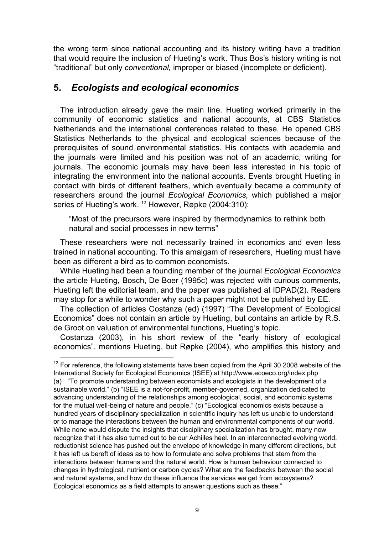the wrong term since national accounting and its history writing have a tradition that would require the inclusion of Hueting's work. Thus Bos's history writing is not "traditional" but only *conventional,* improper or biased (incomplete or deficient).

#### **5.** *Ecologists and ecological economics*

-

The introduction already gave the main line. Hueting worked primarily in the community of economic statistics and national accounts, at CBS Statistics Netherlands and the international conferences related to these. He opened CBS Statistics Netherlands to the physical and ecological sciences because of the prerequisites of sound environmental statistics. His contacts with academia and the journals were limited and his position was not of an academic, writing for journals. The economic journals may have been less interested in his topic of integrating the environment into the national accounts. Events brought Hueting in contact with birds of different feathers, which eventually became a community of researchers around the journal *Ecological Economics,* which published a major series of Hueting's work.<sup>12</sup> However, Røpke (2004:310):

"Most of the precursors were inspired by thermodynamics to rethink both natural and social processes in new terms"

These researchers were not necessarily trained in economics and even less trained in national accounting. To this amalgam of researchers, Hueting must have been as different a bird as to common economists.

While Hueting had been a founding member of the journal *Ecological Economics* the article Hueting, Bosch, De Boer (1995c) was rejected with curious comments, Hueting left the editorial team, and the paper was published at IDPAD(2). Readers may stop for a while to wonder why such a paper might not be published by EE.

The collection of articles Costanza (ed) (1997) "The Development of Ecological Economics" does not contain an article by Hueting, but contains an article by R.S. de Groot on valuation of environmental functions, Hueting's topic.

Costanza (2003), in his short review of the "early history of ecological economics", mentions Hueting, but Røpke (2004), who amplifies this history and

 $12$  For reference, the following statements have been copied from the April 30 2008 website of the International Society for Ecological Economics (ISEE) at http://www.ecoeco.org/index.php (a) "To promote understanding between economists and ecologists in the development of a sustainable world." (b) "ISEE is a not-for-profit, member-governed, organization dedicated to advancing understanding of the relationships among ecological, social, and economic systems for the mutual well-being of nature and people." (c) "Ecological economics exists because a hundred years of disciplinary specialization in scientific inquiry has left us unable to understand or to manage the interactions between the human and environmental components of our world. While none would dispute the insights that disciplinary specialization has brought, many now recognize that it has also turned out to be our Achilles heel. In an interconnected evolving world, reductionist science has pushed out the envelope of knowledge in many different directions, but it has left us bereft of ideas as to how to formulate and solve problems that stem from the interactions between humans and the natural world. How is human behaviour connected to changes in hydrological, nutrient or carbon cycles? What are the feedbacks between the social and natural systems, and how do these influence the services we get from ecosystems? Ecological economics as a field attempts to answer questions such as these."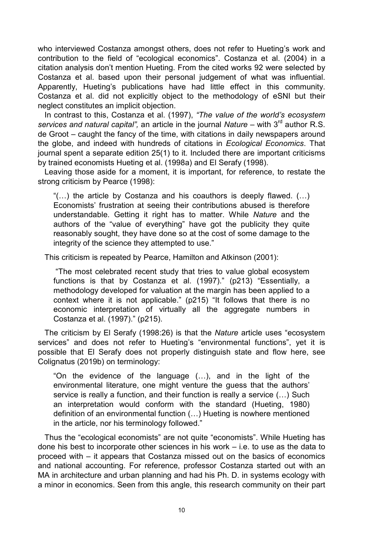who interviewed Costanza amongst others, does not refer to Hueting's work and contribution to the field of "ecological economics". Costanza et al. (2004) in a citation analysis don't mention Hueting. From the cited works 92 were selected by Costanza et al. based upon their personal judgement of what was influential. Apparently, Hueting's publications have had little effect in this community. Costanza et al. did not explicitly object to the methodology of eSNI but their neglect constitutes an implicit objection.

In contrast to this, Costanza et al. (1997), *"The value of the world's ecosystem* services and natural capital", an article in the journal *Nature* – with 3<sup>rd</sup> author R.S. de Groot – caught the fancy of the time, with citations in daily newspapers around the globe, and indeed with hundreds of citations in *Ecological Economics*. That journal spent a separate edition 25(1) to it. Included there are important criticisms by trained economists Hueting et al. (1998a) and El Serafy (1998).

Leaving those aside for a moment, it is important, for reference, to restate the strong criticism by Pearce (1998):

" $(...)$  the article by Costanza and his coauthors is deeply flawed.  $(...)$ Economists' frustration at seeing their contributions abused is therefore understandable. Getting it right has to matter. While *Nature* and the authors of the "value of everything" have got the publicity they quite reasonably sought, they have done so at the cost of some damage to the integrity of the science they attempted to use."

This criticism is repeated by Pearce, Hamilton and Atkinson (2001):

 "The most celebrated recent study that tries to value global ecosystem functions is that by Costanza et al. (1997)." (p213) "Essentially, a methodology developed for valuation at the margin has been applied to a context where it is not applicable." (p215) "It follows that there is no economic interpretation of virtually all the aggregate numbers in Costanza et al. (1997)." (p215).

The criticism by El Serafy (1998:26) is that the *Nature* article uses "ecosystem services" and does not refer to Hueting's "environmental functions", yet it is possible that El Serafy does not properly distinguish state and flow here, see Colignatus (2019b) on terminology:

"On the evidence of the language (…), and in the light of the environmental literature, one might venture the guess that the authors' service is really a function, and their function is really a service (…) Such an interpretation would conform with the standard (Hueting, 1980) definition of an environmental function (…) Hueting is nowhere mentioned in the article, nor his terminology followed."

Thus the "ecological economists" are not quite "economists". While Hueting has done his best to incorporate other sciences in his work – i.e. to use as the data to proceed with – it appears that Costanza missed out on the basics of economics and national accounting. For reference, professor Costanza started out with an MA in architecture and urban planning and had his Ph. D. in systems ecology with a minor in economics. Seen from this angle, this research community on their part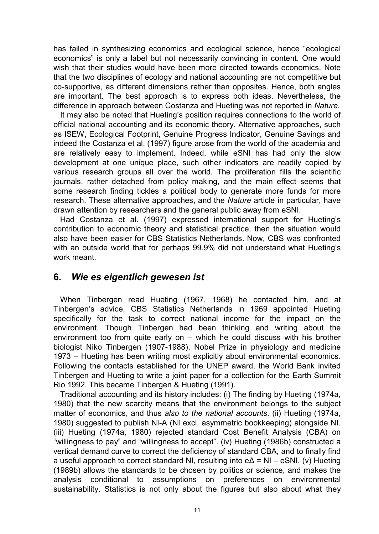has failed in synthesizing economics and ecological science, hence "ecological economics" is only a label but not necessarily convincing in content. One would wish that their studies would have been more directed towards economics. Note that the two disciplines of ecology and national accounting are not competitive but co-supportive, as different dimensions rather than opposites. Hence, both angles are important. The best approach is to express both ideas. Nevertheless, the difference in approach between Costanza and Hueting was not reported in *Nature*.

It may also be noted that Hueting's position requires connections to the world of official national accounting and its economic theory. Alternative approaches, such as ISEW, Ecological Footprint, Genuine Progress Indicator, Genuine Savings and indeed the Costanza et al. (1997) figure arose from the world of the academia and are relatively easy to implement. Indeed, while eSNI has had only the slow development at one unique place, such other indicators are readily copied by various research groups all over the world. The proliferation fills the scientific journals, rather detached from policy making, and the main effect seems that some research finding tickles a political body to generate more funds for more research. These alternative approaches, and the *Nature* article in particular, have drawn attention by researchers and the general public away from eSNI.

Had Costanza et al. (1997) expressed international support for Hueting's contribution to economic theory and statistical practice, then the situation would also have been easier for CBS Statistics Netherlands. Now, CBS was confronted with an outside world that for perhaps 99.9% did not understand what Hueting's work meant.

#### **6.** *Wie es eigentlich gewesen ist*

When Tinbergen read Hueting (1967, 1968) he contacted him, and at Tinbergen's advice, CBS Statistics Netherlands in 1969 appointed Hueting specifically for the task to correct national income for the impact on the environment. Though Tinbergen had been thinking and writing about the environment too from quite early on – which he could discuss with his brother biologist Niko Tinbergen (1907-1988), Nobel Prize in physiology and medicine 1973 – Hueting has been writing most explicitly about environmental economics. Following the contacts established for the UNEP award, the World Bank invited Tinbergen and Hueting to write a joint paper for a collection for the Earth Summit Rio 1992. This became Tinbergen & Hueting (1991).

Traditional accounting and its history includes: (i) The finding by Hueting (1974a, 1980) that the new scarcity means that the environment belongs to the subject matter of economics, and thus *also to the national accounts*. (ii) Hueting (1974a, 1980) suggested to publish NI-A (NI excl. asymmetric bookkeeping) alongside NI. (iii) Hueting (1974a, 1980) rejected standard Cost Benefit Analysis (CBA) on "willingness to pay" and "willingness to accept". (iv) Hueting (1986b) constructed a vertical demand curve to correct the deficiency of standard CBA, and to finally find a useful approach to correct standard NI, resulting into  $e\Delta = NI - eSNI$ . (v) Hueting (1989b) allows the standards to be chosen by politics or science, and makes the analysis conditional to assumptions on preferences on environmental sustainability. Statistics is not only about the figures but also about what they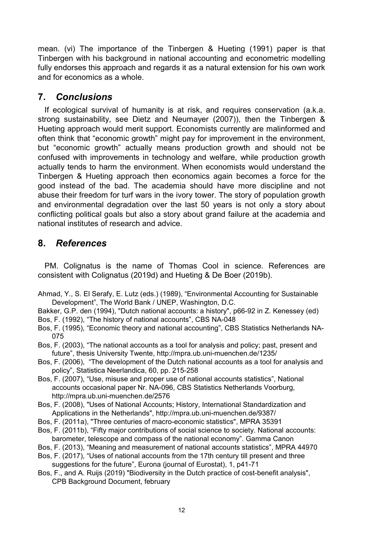mean. (vi) The importance of the Tinbergen & Hueting (1991) paper is that Tinbergen with his background in national accounting and econometric modelling fully endorses this approach and regards it as a natural extension for his own work and for economics as a whole.

### **7.** *Conclusions*

If ecological survival of humanity is at risk, and requires conservation (a.k.a. strong sustainability, see Dietz and Neumayer (2007)), then the Tinbergen & Hueting approach would merit support. Economists currently are malinformed and often think that "economic growth" might pay for improvement in the environment, but "economic growth" actually means production growth and should not be confused with improvements in technology and welfare, while production growth actually tends to harm the environment. When economists would understand the Tinbergen & Hueting approach then economics again becomes a force for the good instead of the bad. The academia should have more discipline and not abuse their freedom for turf wars in the ivory tower. The story of population growth and environmental degradation over the last 50 years is not only a story about conflicting political goals but also a story about grand failure at the academia and national institutes of research and advice.

# **8.** *References*

PM. Colignatus is the name of Thomas Cool in science. References are consistent with Colignatus (2019d) and Hueting & De Boer (2019b).

- Ahmad, Y., S. El Serafy, E. Lutz (eds.) (1989), "Environmental Accounting for Sustainable Development", The World Bank / UNEP, Washington, D.C.
- Bakker, G.P. den (1994), "Dutch national accounts: a history", p66-92 in Z. Kenessey (ed) Bos, F. (1992), "The history of national accounts", CBS NA-048
- Bos, F. (1995), "Economic theory and national accounting", CBS Statistics Netherlands NA-075
- Bos, F. (2003), "The national accounts as a tool for analysis and policy; past, present and future", thesis University Twente, http://mpra.ub.uni-muenchen.de/1235/
- Bos, F. (2006), "The development of the Dutch national accounts as a tool for analysis and policy", Statistica Neerlandica, 60, pp. 215-258
- Bos, F. (2007), "Use, misuse and proper use of national accounts statistics", National accounts occasional paper Nr. NA-096, CBS Statistics Netherlands Voorburg, http://mpra.ub.uni-muenchen.de/2576
- Bos, F. (2008), "Uses of National Accounts; History, International Standardization and Applications in the Netherlands", http://mpra.ub.uni-muenchen.de/9387/
- Bos, F. (2011a), "Three centuries of macro-economic statistics", MPRA 35391
- Bos, F. (2011b), "Fifty major contributions of social science to society. National accounts: barometer, telescope and compass of the national economy". Gamma Canon
- Bos, F. (2013), "Meaning and measurement of national accounts statistics", MPRA 44970
- Bos, F. (2017), "Uses of national accounts from the 17th century till present and three suggestions for the future", Eurona (journal of Eurostat), 1, p41-71
- Bos, F., and A. Ruijs (2019) "Biodiversity in the Dutch practice of cost-benefit analysis", CPB Background Document, february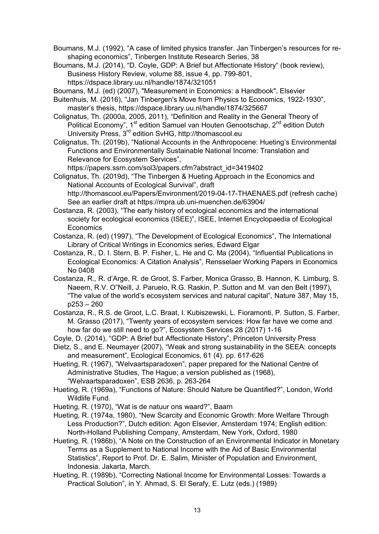Boumans, M.J. (1992), "A case of limited physics transfer. Jan Tinbergen's resources for reshaping economics", Tinbergen Institute Research Series, 38

Boumans, M.J. (2014), "D. Coyle, GDP: A Brief but Affectionate History" (book review), Business History Review, volume 88, issue 4, pp. 799-801, https://dspace.library.uu.nl/handle/1874/321051

Boumans, M.J. (ed) (2007), "Measurement in Economics: a Handbook", Elsevier

Buitenhuis, M. (2016), "Jan Tinbergen's Move from Physics to Economics, 1922-1930", master's thesis, https://dspace.library.uu.nl/handle/1874/325667

Colignatus, Th. (2000a, 2005, 2011), "Definition and Reality in the General Theory of Political Economy", 1<sup>st</sup> edition Samuel van Houten Genootschap, 2<sup>nd</sup> edition Dutch University Press, 3rd edition SvHG, http://thomascool.eu

Colignatus, Th. (2019b), "National Accounts in the Anthropocene: Hueting's Environmental Functions and Environmentally Sustainable National Income: Translation and Relevance for Ecosystem Services",

https://papers.ssrn.com/sol3/papers.cfm?abstract\_id=3419402

Colignatus, Th. (2019d), "The Tinbergen & Hueting Approach in the Economics and National Accounts of Ecological Survival", draft http://thomascool.eu/Papers/Environment/2019-04-17-THAENAES.pdf (refresh cache) See an earlier draft at https://mpra.ub.uni-muenchen.de/63904/

Costanza, R. (2003), "The early history of ecological economics and the international society for ecological economics (ISEE)", ISEE, Internet Encyclopaedia of Ecological **Economics** 

Costanza, R. (ed) (1997), "The Development of Ecological Economics", The International Library of Critical Writings in Economics series, Edward Elgar

Costanza, R., D. I. Stern, B. P. Fisher, L. He and C. Ma (2004), "Influential Publications in Ecological Economics: A Citation Analysis", Rensselaer Working Papers in Economics No 0408

Costanza, R., R. d'Arge, R. de Groot, S. Farber, Monica Grasso, B. Hannon, K. Limburg, S. Naeem, R.V. O"Neill, J. Paruelo, R.G. Raskin, P. Sutton and M. van den Belt (1997), "The value of the world's ecosystem services and natural capital", Nature 387, May 15, p253 – 260

Costanza, R., R.S. de Groot, L.C. Braat, I. Kubiszewski, L. Fioramonti, P. Sutton, S. Farber, M. Grasso (2017), "Twenty years of ecosystem services: How far have we come and how far do we still need to go?", Ecosystem Services 28 (2017) 1-16

Coyle, D. (2014), "GDP: A Brief but Affectionate History", Princeton University Press

Dietz, S., and E. Neumayer (2007), "Weak and strong sustainability in the SEEA: concepts and measurement", Ecological Economics, 61 (4). pp. 617-626

Hueting, R. (1967), "Welvaartsparadoxen", paper prepared for the National Centre of Administrative Studies, The Hague; a version published as (1968), "Welvaartsparadoxen", ESB 2636, p. 263-264

Hueting, R. (1969a), "Functions of Nature: Should Nature be Quantified?", London, World Wildlife Fund.

Hueting, R. (1970), "Wat is de natuur ons waard?", Baarn

Hueting, R. (1974a, 1980), "New Scarcity and Economic Growth: More Welfare Through Less Production?", Dutch edition: Agon Elsevier, Amsterdam 1974; English edition: North-Holland Publishing Company, Amsterdam, New York, Oxford, 1980

Hueting, R. (1986b), "A Note on the Construction of an Environmental Indicator in Monetary Terms as a Supplement to National Income with the Aid of Basic Environmental Statistics", Report to Prof. Dr. E. Salim, Minister of Population and Environment, Indonesia. Jakarta, March.

Hueting, R. (1989b), "Correcting National Income for Environmental Losses: Towards a Practical Solution", in Y. Ahmad, S. El Serafy, E. Lutz (eds.) (1989)